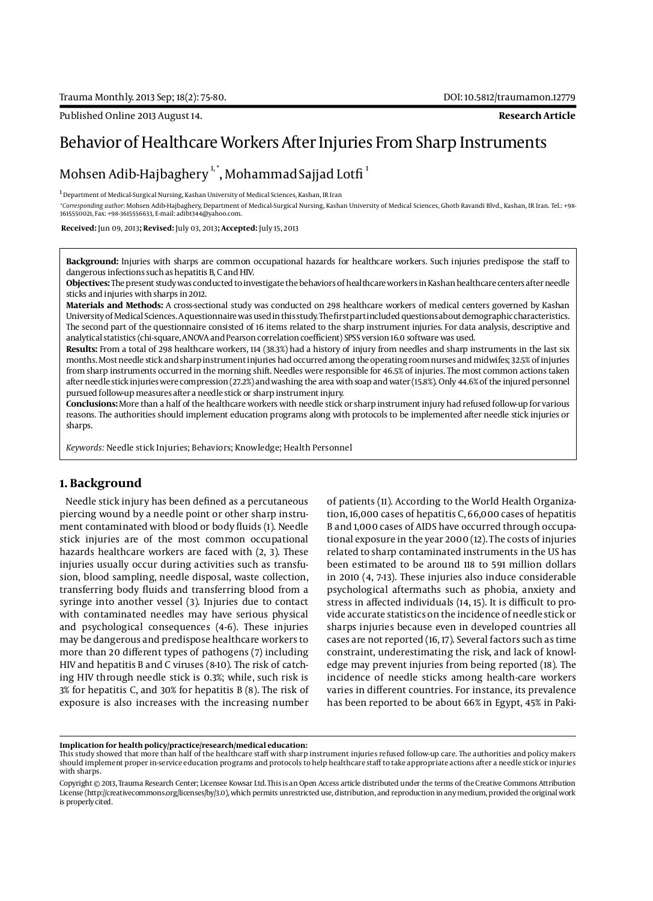# Behavior of Healthcare Workers After Injuries From Sharp Instruments

## Mohsen Adib-Hajbaghery  $^{\rm 1, *}$ , Mohammad Sajjad Lotfi  $^{\rm 1}$

 $^{\rm 1}$  Department of Medical-Surgical Nursing, Kashan University of Medical Sciences, Kashan, IR Iran

*\*Corresponding author*: Mohsen Adib-Hajbaghery, Department of Medical-Surgical Nursing, Kashan University of Medical Sciences, Ghotb Ravandi Blvd., Kashan, IR Iran. Tel.: +98- 3615550021, Fax: +98-3615556633, E-mail: adib1344@yahoo.com.

 **Received:** Jun 09, 2013**; Revised:** July 03, 2013**; Accepted:** July 15, 2013

**Background:** Injuries with sharps are common occupational hazards for healthcare workers. Such injuries predispose the staff to dangerous infections such as hepatitis B, C and HIV.

**Objectives:** The present study was conducted to investigate the behaviors of healthcare workers in Kashan healthcare centers after needle sticks and injuries with sharps in 2012.

**Materials and Methods:** A cross-sectional study was conducted on 298 healthcare workers of medical centers governed by Kashan University of Medical Sciences. A questionnaire was used in this study. The first part included questions about demographic characteristics. The second part of the questionnaire consisted of 16 items related to the sharp instrument injuries. For data analysis, descriptive and analytical statistics (chi-square, ANOVA and Pearson correlation coefficient) SPSS version 16.0 software was used.

**Results:** From a total of 298 healthcare workers, 114 (38.3%) had a history of injury from needles and sharp instruments in the last six months. Most needle stick and sharp instrument injuries had occurred among the operating room nurses and midwifes; 32.5% of injuries from sharp instruments occurred in the morning shift. Needles were responsible for 46.5% of injuries. The most common actions taken after needle stick injuries were compression (27.2%) and washing the area with soap and water (15.8%). Only 44.6% of the injured personnel pursued follow-up measures after a needle stick or sharp instrument injury.

**Conclusions:** More than a half of the healthcare workers with needle stick or sharp instrument injury had refused follow-up for various reasons. The authorities should implement education programs along with protocols to be implemented after needle stick injuries or sharps.

*Keywords:* Needle stick Injuries; Behaviors; Knowledge; Health Personnel

#### **1. Background**

Needle stick injury has been defined as a percutaneous piercing wound by a needle point or other sharp instrument contaminated with blood or body fluids (1). Needle stick injuries are of the most common occupational hazards healthcare workers are faced with (2, 3). These injuries usually occur during activities such as transfusion, blood sampling, needle disposal, waste collection, transferring body fluids and transferring blood from a syringe into another vessel (3). Injuries due to contact with contaminated needles may have serious physical and psychological consequences (4-6). These injuries may be dangerous and predispose healthcare workers to more than 20 different types of pathogens (7) including HIV and hepatitis B and C viruses (8-10). The risk of catching HIV through needle stick is 0.3%; while, such risk is 3% for hepatitis C, and 30% for hepatitis B (8). The risk of exposure is also increases with the increasing number

of patients (11). According to the World Health Organization, 16,000 cases of hepatitis C, 66,000 cases of hepatitis B and 1,000 cases of AIDS have occurred through occupational exposure in the year 2000 (12). The costs of injuries related to sharp contaminated instruments in the US has been estimated to be around 118 to 591 million dollars in 2010 (4, 7-13). These injuries also induce considerable psychological aftermaths such as phobia, anxiety and stress in affected individuals (14, 15). It is difficult to provide accurate statistics on the incidence of needle stick or sharps injuries because even in developed countries all cases are not reported (16, 17). Several factors such as time constraint, underestimating the risk, and lack of knowledge may prevent injuries from being reported (18). The incidence of needle sticks among health-care workers varies in different countries. For instance, its prevalence has been reported to be about 66% in Egypt, 45% in Paki-

#### **Implication for health policy/practice/research/medical education:**

This study showed that more than half of the healthcare staff with sharp instrument injuries refused follow-up care. The authorities and policy makers should implement proper in-service education programs and protocols to help healthcare staff to take appropriate actions after a needle stick or injuries with sharps.

Copyright © 2013, Trauma Research Center; Licensee Kowsar Ltd. This is an Open Access article distributed under the terms of the Creative Commons Attribution License (http://creativecommons.org/licenses/by/3.0), which permits unrestricted use, distribution, and reproduction in any medium, provided the original work is properly cited.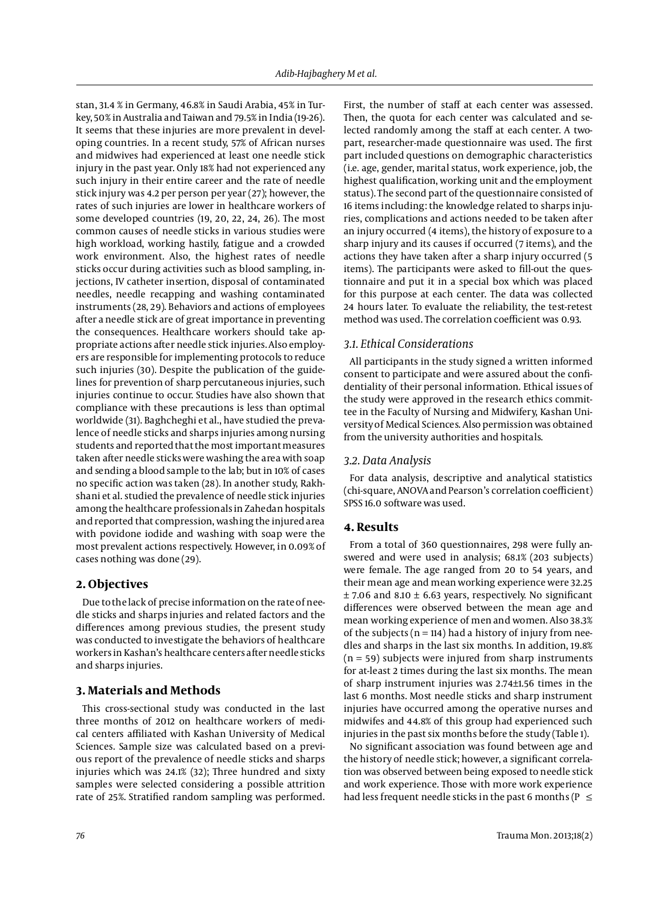stan, 31.4 % in Germany, 46.8% in Saudi Arabia, 45% in Turkey, 50% in Australia and Taiwan and 79.5% in India (19-26). It seems that these injuries are more prevalent in developing countries. In a recent study, 57% of African nurses and midwives had experienced at least one needle stick injury in the past year. Only 18% had not experienced any such injury in their entire career and the rate of needle stick injury was 4.2 per person per year (27); however, the rates of such injuries are lower in healthcare workers of some developed countries (19, 20, 22, 24, 26). The most common causes of needle sticks in various studies were high workload, working hastily, fatigue and a crowded work environment. Also, the highest rates of needle sticks occur during activities such as blood sampling, injections, IV catheter insertion, disposal of contaminated needles, needle recapping and washing contaminated instruments (28, 29). Behaviors and actions of employees after a needle stick are of great importance in preventing the consequences. Healthcare workers should take appropriate actions after needle stick injuries. Also employers are responsible for implementing protocols to reduce such injuries (30). Despite the publication of the guidelines for prevention of sharp percutaneous injuries, such injuries continue to occur. Studies have also shown that compliance with these precautions is less than optimal worldwide (31). Baghcheghi et al., have studied the prevalence of needle sticks and sharps injuries among nursing students and reported that the most important measures taken after needle sticks were washing the area with soap and sending a blood sample to the lab; but in 10% of cases no specific action was taken (28). In another study, Rakhshani et al. studied the prevalence of needle stick injuries among the healthcare professionals in Zahedan hospitals and reported that compression, washing the injured area with povidone iodide and washing with soap were the most prevalent actions respectively. However, in 0.09% of cases nothing was done (29).

#### **2. Objectives**

Due to the lack of precise information on the rate of needle sticks and sharps injuries and related factors and the differences among previous studies, the present study was conducted to investigate the behaviors of healthcare workers in Kashan's healthcare centers after needle sticks and sharps injuries.

## **3. Materials and Methods**

This cross-sectional study was conducted in the last three months of 2012 on healthcare workers of medical centers affiliated with Kashan University of Medical Sciences. Sample size was calculated based on a previous report of the prevalence of needle sticks and sharps injuries which was 24.1% (32); Three hundred and sixty samples were selected considering a possible attrition rate of 25%. Stratified random sampling was performed. First, the number of staff at each center was assessed. Then, the quota for each center was calculated and selected randomly among the staff at each center. A twopart, researcher-made questionnaire was used. The first part included questions on demographic characteristics (i.e. age, gender, marital status, work experience, job, the highest qualification, working unit and the employment status). The second part of the questionnaire consisted of 16 items including: the knowledge related to sharps injuries, complications and actions needed to be taken after an injury occurred (4 items), the history of exposure to a sharp injury and its causes if occurred (7 items), and the actions they have taken after a sharp injury occurred (5 items). The participants were asked to fill-out the questionnaire and put it in a special box which was placed for this purpose at each center. The data was collected 24 hours later. To evaluate the reliability, the test-retest method was used. The correlation coefficient was 0.93.

#### *3.1. Ethical Considerations*

All participants in the study signed a written informed consent to participate and were assured about the confidentiality of their personal information. Ethical issues of the study were approved in the research ethics committee in the Faculty of Nursing and Midwifery, Kashan University of Medical Sciences. Also permission was obtained from the university authorities and hospitals.

#### *3.2. Data Analysis*

For data analysis, descriptive and analytical statistics (chi-square, ANOVA and Pearson's correlation coefficient) SPSS 16.0 software was used.

#### **4. Results**

From a total of 360 questionnaires, 298 were fully answered and were used in analysis; 68.1% (203 subjects) were female. The age ranged from 20 to 54 years, and their mean age and mean working experience were 32.25  $±$  7.06 and 8.10  $±$  6.63 years, respectively. No significant differences were observed between the mean age and mean working experience of men and women. Also 38.3% of the subjects ( $n = 114$ ) had a history of injury from needles and sharps in the last six months. In addition, 19.8%  $(n = 59)$  subjects were injured from sharp instruments for at-least 2 times during the last six months. The mean of sharp instrument injuries was 2.74±1.56 times in the last 6 months. Most needle sticks and sharp instrument injuries have occurred among the operative nurses and midwifes and 44.8% of this group had experienced such injuries in the past six months before the study (Table 1).

No significant association was found between age and the history of needle stick; however, a significant correlation was observed between being exposed to needle stick and work experience. Those with more work experience had less frequent needle sticks in the past 6 months ( $P \le$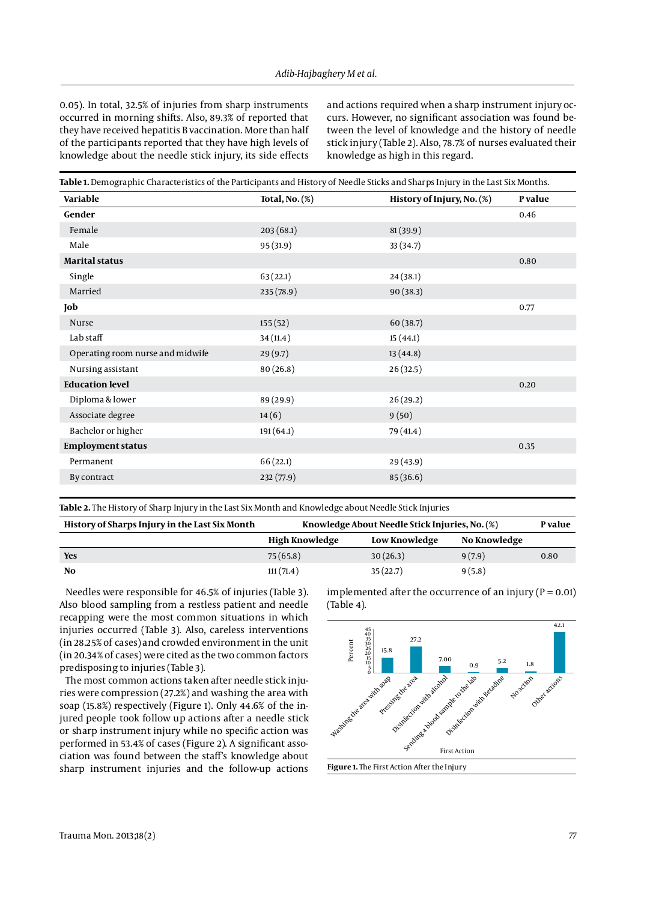0.05). In total, 32.5% of injuries from sharp instruments occurred in morning shifts. Also, 89.3% of reported that they have received hepatitis B vaccination. More than half of the participants reported that they have high levels of knowledge about the needle stick injury, its side effects

and actions required when a sharp instrument injury occurs. However, no significant association was found between the level of knowledge and the history of needle stick injury (Table 2). Also, 78.7% of nurses evaluated their knowledge as high in this regard.

| Variable                         | <b>Total, No. (%)</b> | History of Injury, No. (%) | P value |  |
|----------------------------------|-----------------------|----------------------------|---------|--|
| Gender                           |                       |                            | 0.46    |  |
| Female                           | 203(68.1)             | 81(39.9)                   |         |  |
| Male                             | 95(31.9)              | 33 (34.7)                  |         |  |
| <b>Marital status</b>            |                       |                            | 0.80    |  |
| Single                           | 63(22.1)              | 24(38.1)                   |         |  |
| Married                          | 235 (78.9)            | 90(38.3)                   |         |  |
| Job                              |                       |                            | 0.77    |  |
| Nurse                            | 155(52)               | 60 (38.7)                  |         |  |
| Lab staff                        | 34 (11.4)             | 15(44.1)                   |         |  |
| Operating room nurse and midwife | 29(9.7)               | 13(44.8)                   |         |  |
| Nursing assistant                | 80(26.8)              | 26(32.5)                   |         |  |
| <b>Education level</b>           |                       |                            | 0.20    |  |
| Diploma & lower                  | 89 (29.9)             | 26(29.2)                   |         |  |
| Associate degree                 | 14(6)                 | 9(50)                      |         |  |
| Bachelor or higher               | 191(64.1)             | 79 (41.4)                  |         |  |
| <b>Employment status</b>         |                       |                            | 0.35    |  |
| Permanent                        | 66(22.1)              | 29 (43.9)                  |         |  |
| By contract                      | 232(77.9)             | 85 (36.6)                  |         |  |

**Table 2.** The History of Sharp Injury in the Last Six Month and Knowledge about Needle Stick Injuries

| History of Sharps Injury in the Last Six Month | Knowledge About Needle Stick Injuries, No. (%) |               |              |      |
|------------------------------------------------|------------------------------------------------|---------------|--------------|------|
|                                                | High Knowledge                                 | Low Knowledge | No Knowledge |      |
| <b>Yes</b>                                     | 75(65.8)                                       | 30(26.3)      | 9(7.9)       | 0.80 |
| No                                             | 111(71.4)                                      | 35(22.7)      | 9(5.8)       |      |

Needles were responsible for 46.5% of injuries (Table 3). Also blood sampling from a restless patient and needle recapping were the most common situations in which injuries occurred (Table 3). Also, careless interventions (in 28.25% of cases) and crowded environment in the unit (in 20.34% of cases) were cited as the two common factors predisposing to injuries (Table 3).

The most common actions taken after needle stick injuries were compression (27.2%) and washing the area with soap (15.8%) respectively (Figure 1). Only 44.6% of the injured people took follow up actions after a needle stick or sharp instrument injury while no specific action was performed in 53.4% of cases (Figure 2). A significant association was found between the staff's knowledge about sharp instrument injuries and the follow-up actions

implemented after the occurrence of an injury ( $P = 0.01$ ) (Table 4).

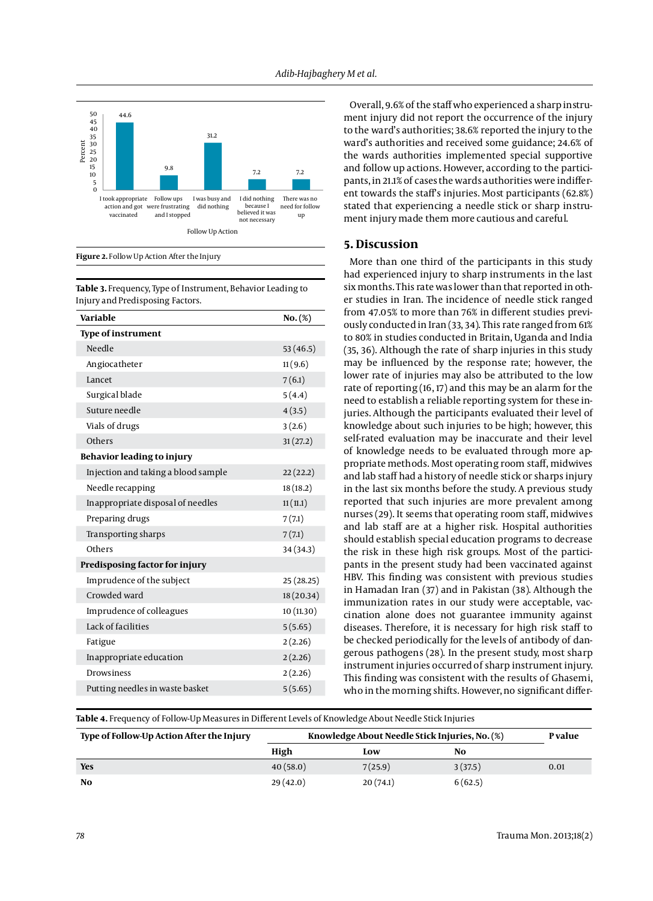

**Figure 2.** Follow Up Action After the Injury

**Table 3.** Frequency, Type of Instrument, Behavior Leading to Injury and Predisposing Factors.

| Variable                            | $No.(\%)$  |
|-------------------------------------|------------|
| <b>Type of instrument</b>           |            |
| Needle                              | 53(46.5)   |
| Angiocatheter                       | 11(9.6)    |
| Lancet                              | 7(6.1)     |
| Surgical blade                      | 5(4.4)     |
| Suture needle                       | 4(3.5)     |
| Vials of drugs                      | 3(2.6)     |
| Others                              | 31(27.2)   |
| <b>Behavior leading to injury</b>   |            |
| Injection and taking a blood sample | 22(22.2)   |
| Needle recapping                    | 18 (18.2)  |
| Inappropriate disposal of needles   | 11(11.1)   |
| Preparing drugs                     | 7(7.1)     |
| Transporting sharps                 | 7(7.1)     |
| Others                              | 34 (34.3)  |
| Predisposing factor for injury      |            |
| Imprudence of the subject           | 25(28.25)  |
| Crowded ward                        | 18 (20.34) |
| Imprudence of colleagues            | 10 (11.30) |
| Lack of facilities                  | 5(5.65)    |
| Fatigue                             | 2(2.26)    |
| Inappropriate education             | 2(2.26)    |
| <b>Drowsiness</b>                   | 2(2.26)    |
| Putting needles in waste basket     | 5(5.65)    |
|                                     |            |

Overall, 9.6% of the staff who experienced a sharp instrument injury did not report the occurrence of the injury to the ward's authorities; 38.6% reported the injury to the ward's authorities and received some guidance; 24.6% of the wards authorities implemented special supportive and follow up actions. However, according to the participants, in 21.1% of cases the wards authorities were indifferent towards the staff's injuries. Most participants (62.8%) stated that experiencing a needle stick or sharp instrument injury made them more cautious and careful.

#### **5. Discussion**

More than one third of the participants in this study had experienced injury to sharp instruments in the last six months. This rate was lower than that reported in other studies in Iran. The incidence of needle stick ranged from 47.05% to more than 76% in different studies previously conducted in Iran (33, 34). This rate ranged from 61% to 80% in studies conducted in Britain, Uganda and India (35, 36). Although the rate of sharp injuries in this study may be influenced by the response rate; however, the lower rate of injuries may also be attributed to the low rate of reporting (16, 17) and this may be an alarm for the need to establish a reliable reporting system for these injuries. Although the participants evaluated their level of knowledge about such injuries to be high; however, this self-rated evaluation may be inaccurate and their level of knowledge needs to be evaluated through more appropriate methods. Most operating room staff, midwives and lab staff had a history of needle stick or sharps injury in the last six months before the study. A previous study reported that such injuries are more prevalent among nurses (29). It seems that operating room staff, midwives and lab staff are at a higher risk. Hospital authorities should establish special education programs to decrease the risk in these high risk groups. Most of the participants in the present study had been vaccinated against HBV. This finding was consistent with previous studies in Hamadan Iran (37) and in Pakistan (38). Although the immunization rates in our study were acceptable, vaccination alone does not guarantee immunity against diseases. Therefore, it is necessary for high risk staff to be checked periodically for the levels of antibody of dangerous pathogens (28). In the present study, most sharp instrument injuries occurred of sharp instrument injury. This finding was consistent with the results of Ghasemi, who in the morning shifts. However, no significant differ-

**Table 4.** Frequency of Follow-Up Measures in Different Levels of Knowledge About Needle Stick Injuries

| Type of Follow-Up Action After the Injury | Knowledge About Needle Stick Injuries, No. (%) |          |         | P value |
|-------------------------------------------|------------------------------------------------|----------|---------|---------|
|                                           | High                                           | Low      | No      |         |
| <b>Yes</b>                                | 40(58.0)                                       | 7(25.9)  | 3(37.5) | 0.01    |
| No                                        | 29(42.0)                                       | 20(74.1) | 6(62.5) |         |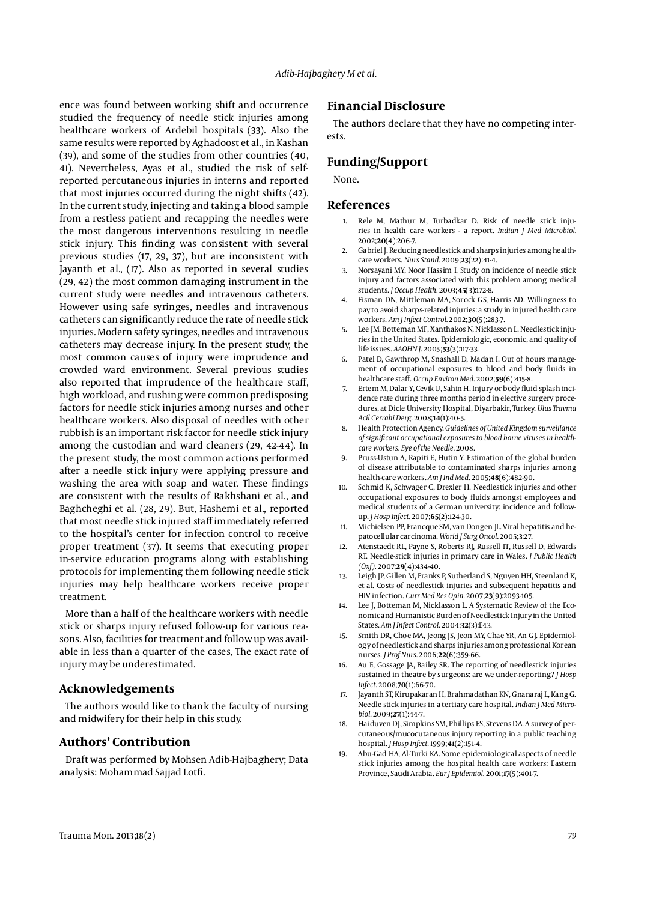ence was found between working shift and occurrence studied the frequency of needle stick injuries among healthcare workers of Ardebil hospitals (33). Also the same results were reported by Aghadoost et al., in Kashan (39), and some of the studies from other countries (40, 41). Nevertheless, Ayas et al., studied the risk of selfreported percutaneous injuries in interns and reported that most injuries occurred during the night shifts (42). In the current study, injecting and taking a blood sample from a restless patient and recapping the needles were the most dangerous interventions resulting in needle stick injury. This finding was consistent with several previous studies (17, 29, 37), but are inconsistent with Jayanth et al., (17). Also as reported in several studies (29, 42) the most common damaging instrument in the current study were needles and intravenous catheters. However using safe syringes, needles and intravenous catheters can significantly reduce the rate of needle stick injuries. Modern safety syringes, needles and intravenous catheters may decrease injury. In the present study, the most common causes of injury were imprudence and crowded ward environment. Several previous studies also reported that imprudence of the healthcare staff, high workload, and rushing were common predisposing factors for needle stick injuries among nurses and other healthcare workers. Also disposal of needles with other rubbish is an important risk factor for needle stick injury among the custodian and ward cleaners (29, 42-44). In the present study, the most common actions performed after a needle stick injury were applying pressure and washing the area with soap and water. These findings are consistent with the results of Rakhshani et al., and Baghcheghi et al. (28, 29). But, Hashemi et al., reported that most needle stick injured staff immediately referred to the hospital's center for infection control to receive proper treatment (37). It seems that executing proper in-service education programs along with establishing protocols for implementing them following needle stick injuries may help healthcare workers receive proper treatment.

More than a half of the healthcare workers with needle stick or sharps injury refused follow-up for various reasons. Also, facilities for treatment and follow up was available in less than a quarter of the cases, The exact rate of injury may be underestimated.

#### **Acknowledgements**

The authors would like to thank the faculty of nursing and midwifery for their help in this study.

## **Authors' Contribution**

Draft was performed by Mohsen Adib-Hajbaghery; Data analysis: Mohammad Sajjad Lotfi.

#### **Financial Disclosure**

The authors declare that they have no competing interests.

#### **Funding/Support**

None.

#### **References**

- 1. Rele M, Mathur M, Turbadkar D. Risk of needle stick injuries in health care workers - a report. *Indian J Med Microbiol.* 2002;**20**(4):206-7.
- 2. Gabriel J. Reducing needlestick and sharps injuries among healthcare workers. *Nurs Stand.* 2009;**23**(22):41-4.
- 3. Norsayani MY, Noor Hassim I. Study on incidence of needle stick injury and factors associated with this problem among medical students. *J Occup Health.* 2003;**45**(3):172-8.
- 4. Fisman DN, Mittleman MA, Sorock GS, Harris AD. Willingness to pay to avoid sharps-related injuries: a study in injured health care workers. *Am J Infect Control.* 2002;**30**(5):283-7.
- 5. Lee JM, Botteman MF, Xanthakos N, Nicklasson L. Needlestick injuries in the United States. Epidemiologic, economic, and quality of life issues. *AAOHN J.* 2005;**53**(3):117-33.
- 6. Patel D, Gawthrop M, Snashall D, Madan I. Out of hours management of occupational exposures to blood and body fluids in healthcare staff. *Occup Environ Med.* 2002;**59**(6):415-8.
- 7. Ertem M, Dalar Y, Cevik U, Sahin H. Injury or body fluid splash incidence rate during three months period in elective surgery procedures, at Dicle University Hospital, Diyarbakir, Turkey. *Ulus Travma Acil Cerrahi Derg.* 2008;**14**(1):40-5.
- 8. Health Protection Agency. *Guidelines of United Kingdom surveillance of significant occupational exposures to blood borne viruses in healthcare workers. Eye of the Needle.* 2008.
- 9. Pruss-Ustun A, Rapiti E, Hutin Y. Estimation of the global burden of disease attributable to contaminated sharps injuries among health-care workers. *Am J Ind Med.* 2005;**48**(6):482-90.
- 10. Schmid K, Schwager C, Drexler H. Needlestick injuries and other occupational exposures to body fluids amongst employees and medical students of a German university: incidence and followup. *J Hosp Infect.* 2007;**65**(2):124-30.
- 11. Michielsen PP, Francque SM, van Dongen JL. Viral hepatitis and hepatocellular carcinoma. *World J Surg Oncol.* 2005;**3**:27.
- 12. Atenstaedt RL, Payne S, Roberts RJ, Russell IT, Russell D, Edwards RT. Needle-stick injuries in primary care in Wales. *J Public Health (Oxf).* 2007;**29**(4):434-40.
- 13. Leigh JP, Gillen M, Franks P, Sutherland S, Nguyen HH, Steenland K, et al. Costs of needlestick injuries and subsequent hepatitis and HIV infection. *Curr Med Res Opin.* 2007;**23**(9):2093-105.
- 14. Lee J, Botteman M, Nicklasson L. A Systematic Review of the Economic and Humanistic Burden of Needlestick Injury in the United States. *Am J Infect Control.* 2004;**32**(3):E43.
- 15. Smith DR, Choe MA, Jeong JS, Jeon MY, Chae YR, An GJ. Epidemiology of needlestick and sharps injuries among professional Korean nurses. *J Prof Nurs.* 2006;**22**(6):359-66.
- 16. Au E, Gossage JA, Bailey SR. The reporting of needlestick injuries sustained in theatre by surgeons: are we under-reporting? *J Hosp Infect.* 2008;**70**(1):66-70.
- 17. Jayanth ST, Kirupakaran H, Brahmadathan KN, Gnanaraj L, Kang G. Needle stick injuries in a tertiary care hospital. *Indian J Med Microbiol.* 2009;**27**(1):44-7.
- 18. Haiduven DJ, Simpkins SM, Phillips ES, Stevens DA. A survey of percutaneous/mucocutaneous injury reporting in a public teaching hospital. *J Hosp Infect.* 1999;**41**(2):151-4.
- 19. Abu-Gad HA, Al-Turki KA. Some epidemiological aspects of needle stick injuries among the hospital health care workers: Eastern Province, Saudi Arabia. *Eur J Epidemiol.* 2001;**17**(5):401-7.